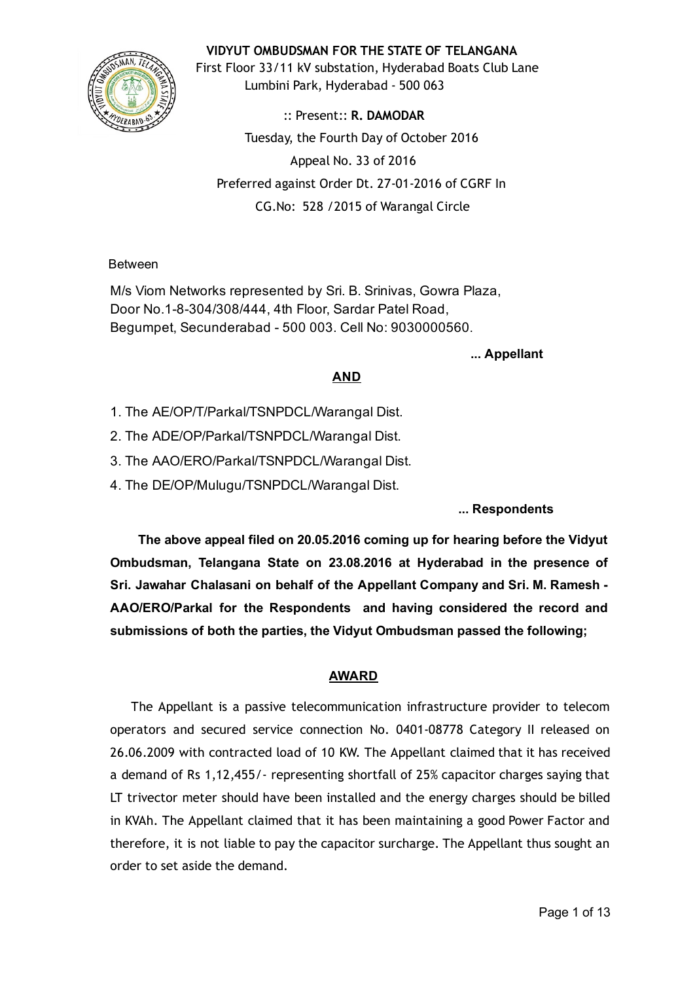

VIDYUT OMBUDSMAN FOR THE STATE OF TELANGANA

First Floor 33/11 kV substation, Hyderabad Boats Club Lane Lumbini Park, Hyderabad ‐ 500 063

:: Present:: R. DAMODAR Tuesday, the Fourth Day of October 2016 Appeal No. 33 of 2016 Preferred against Order Dt. 27‐01‐2016 of CGRF In CG.No: 528 /2015 of Warangal Circle

Between

M/s Viom Networks represented by Sri. B. Srinivas, Gowra Plaza, Door No.1-8-304/308/444, 4th Floor, Sardar Patel Road, Begumpet, Secunderabad 500 003. Cell No: 9030000560.

... Appellant

# AND

- 1. The AE/OP/T/Parkal/TSNPDCL/Warangal Dist.
- 2. The ADE/OP/Parkal/TSNPDCL/Warangal Dist.
- 3. The AAO/ERO/Parkal/TSNPDCL/Warangal Dist.
- 4. The DE/OP/Mulugu/TSNPDCL/Warangal Dist.

... Respondents

The above appeal filed on 20.05.2016 coming up for hearing before the Vidyut Ombudsman, Telangana State on 23.08.2016 at Hyderabad in the presence of Sri. Jawahar Chalasani on behalf of the Appellant Company and Sri. M. Ramesh AAO/ERO/Parkal for the Respondents and having considered the record and submissions of both the parties, the Vidyut Ombudsman passed the following;

# AWARD

The Appellant is a passive telecommunication infrastructure provider to telecom operators and secured service connection No. 0401‐08778 Category II released on 26.06.2009 with contracted load of 10 KW. The Appellant claimed that it has received a demand of Rs 1,12,455/‐ representing shortfall of 25% capacitor charges saying that LT trivector meter should have been installed and the energy charges should be billed in KVAh. The Appellant claimed that it has been maintaining a good Power Factor and therefore, it is not liable to pay the capacitor surcharge. The Appellant thus sought an order to set aside the demand.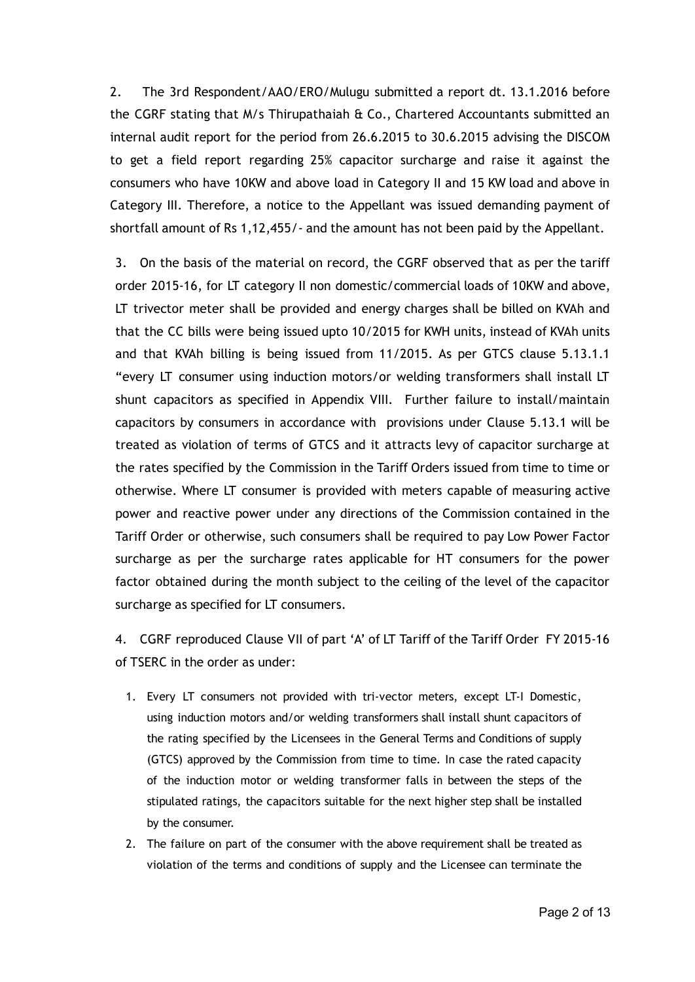2. The 3rd Respondent/AAO/ERO/Mulugu submitted a report dt. 13.1.2016 before the CGRF stating that M/s Thirupathaiah & Co., Chartered Accountants submitted an internal audit report for the period from 26.6.2015 to 30.6.2015 advising the DISCOM to get a field report regarding 25% capacitor surcharge and raise it against the consumers who have 10KW and above load in Category II and 15 KW load and above in Category III. Therefore, a notice to the Appellant was issued demanding payment of shortfall amount of Rs 1,12,455/‐ and the amount has not been paid by the Appellant.

3. On the basis of the material on record, the CGRF observed that as per the tariff order 2015‐16, for LT category II non domestic/commercial loads of 10KW and above, LT trivector meter shall be provided and energy charges shall be billed on KVAh and that the CC bills were being issued upto 10/2015 for KWH units, instead of KVAh units and that KVAh billing is being issued from 11/2015. As per GTCS clause 5.13.1.1 "every LT consumer using induction motors/or welding transformers shall install LT shunt capacitors as specified in Appendix VIII. Further failure to install/maintain capacitors by consumers in accordance with provisions under Clause 5.13.1 will be treated as violation of terms of GTCS and it attracts levy of capacitor surcharge at the rates specified by the Commission in the Tariff Orders issued from time to time or otherwise. Where LT consumer is provided with meters capable of measuring active power and reactive power under any directions of the Commission contained in the Tariff Order or otherwise, such consumers shall be required to pay Low Power Factor surcharge as per the surcharge rates applicable for HT consumers for the power factor obtained during the month subject to the ceiling of the level of the capacitor surcharge as specified for LT consumers.

4. CGRF reproduced Clause VII of part 'A' of LT Tariff of the Tariff Order FY 2015‐16 of TSERC in the order as under:

- 1. Every LT consumers not provided with tri-vector meters, except LT-I Domestic, using induction motors and/or welding transformers shall install shunt capacitors of the rating specified by the Licensees in the General Terms and Conditions of supply (GTCS) approved by the Commission from time to time. In case the rated capacity of the induction motor or welding transformer falls in between the steps of the stipulated ratings, the capacitors suitable for the next higher step shall be installed by the consumer.
- 2. The failure on part of the consumer with the above requirement shall be treated as violation of the terms and conditions of supply and the Licensee can terminate the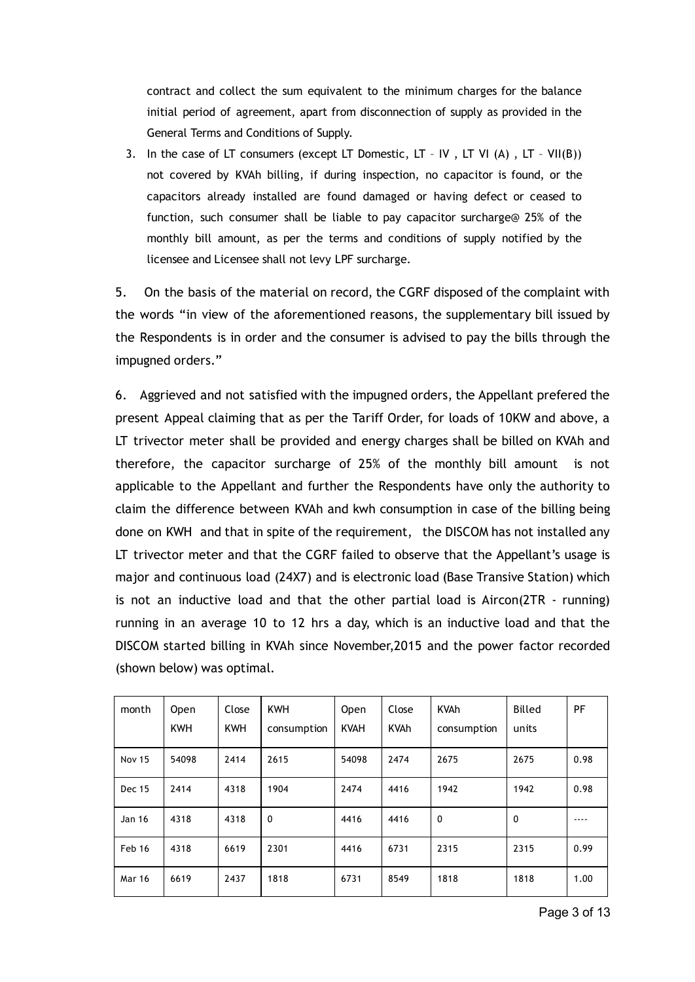contract and collect the sum equivalent to the minimum charges for the balance initial period of agreement, apart from disconnection of supply as provided in the General Terms and Conditions of Supply.

3. In the case of LT consumers (except LT Domestic, LT - IV, LT VI (A), LT - VII(B)) not covered by KVAh billing, if during inspection, no capacitor is found, or the capacitors already installed are found damaged or having defect or ceased to function, such consumer shall be liable to pay capacitor surcharge@ 25% of the monthly bill amount, as per the terms and conditions of supply notified by the licensee and Licensee shall not levy LPF surcharge.

5. On the basis of the material on record, the CGRF disposed of the complaint with the words "in view of the aforementioned reasons, the supplementary bill issued by the Respondents is in order and the consumer is advised to pay the bills through the impugned orders."

6. Aggrieved and not satisfied with the impugned orders, the Appellant prefered the present Appeal claiming that as per the Tariff Order, for loads of 10KW and above, a LT trivector meter shall be provided and energy charges shall be billed on KVAh and therefore, the capacitor surcharge of 25% of the monthly bill amount is not applicable to the Appellant and further the Respondents have only the authority to claim the difference between KVAh and kwh consumption in case of the billing being done on KWH and that in spite of the requirement, the DISCOM has not installed any LT trivector meter and that the CGRF failed to observe that the Appellant's usage is major and continuous load (24X7) and is electronic load (Base Transive Station) which is not an inductive load and that the other partial load is Aircon( $2TR - running$ ) running in an average 10 to 12 hrs a day, which is an inductive load and that the DISCOM started billing in KVAh since November,2015 and the power factor recorded (shown below) was optimal.

| month         | Open<br><b>KWH</b> | Close<br><b>KWH</b> | <b>KWH</b><br>consumption | <b>Open</b><br><b>KVAH</b> | Close<br><b>KVAh</b> | <b>KVAh</b><br>consumption | <b>Billed</b><br>units | PF   |
|---------------|--------------------|---------------------|---------------------------|----------------------------|----------------------|----------------------------|------------------------|------|
| <b>Nov 15</b> | 54098              | 2414                | 2615                      | 54098                      | 2474                 | 2675                       | 2675                   | 0.98 |
| <b>Dec 15</b> | 2414               | 4318                | 1904                      | 2474                       | 4416                 | 1942                       | 1942                   | 0.98 |
| <b>Jan 16</b> | 4318               | 4318                | 0                         | 4416                       | 4416                 | $\mathbf 0$                | $\Omega$               |      |
| Feb 16        | 4318               | 6619                | 2301                      | 4416                       | 6731                 | 2315                       | 2315                   | 0.99 |
| <b>Mar 16</b> | 6619               | 2437                | 1818                      | 6731                       | 8549                 | 1818                       | 1818                   | 1.00 |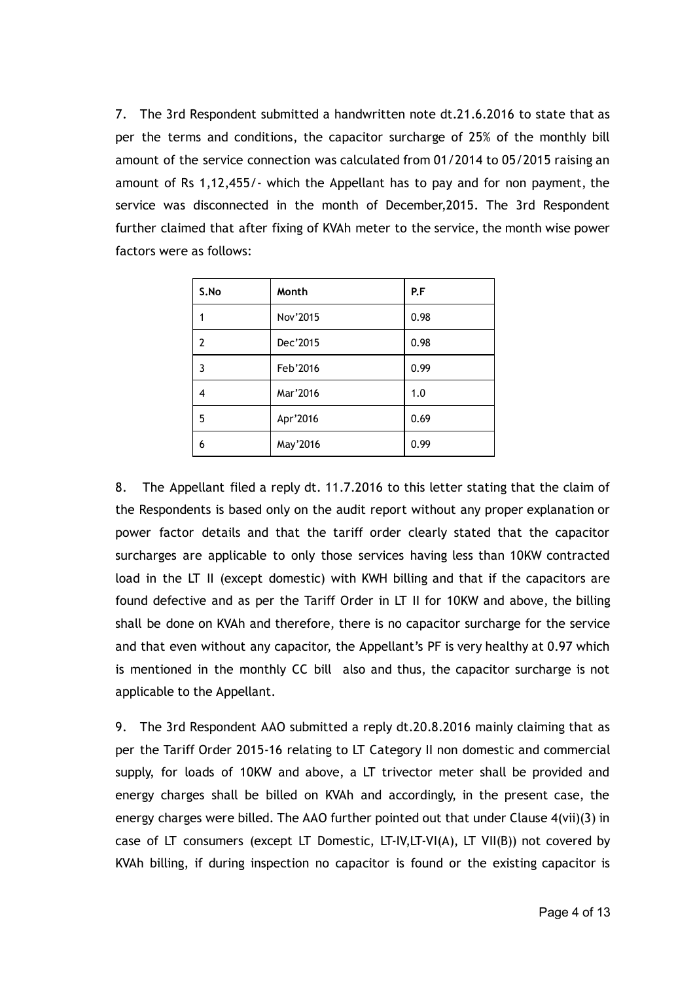7. The 3rd Respondent submitted a handwritten note dt.21.6.2016 to state that as per the terms and conditions, the capacitor surcharge of 25% of the monthly bill amount of the service connection was calculated from 01/2014 to 05/2015 raising an amount of Rs 1,12,455/‐ which the Appellant has to pay and for non payment, the service was disconnected in the month of December,2015. The 3rd Respondent further claimed that after fixing of KVAh meter to the service, the month wise power factors were as follows:

| S.No           | Month    | P.F  |
|----------------|----------|------|
| 1              | Nov'2015 | 0.98 |
| $\overline{2}$ | Dec'2015 | 0.98 |
| 3              | Feb'2016 | 0.99 |
| 4              | Mar'2016 | 1.0  |
| 5              | Apr'2016 | 0.69 |
| 6              | May'2016 | 0.99 |

8. The Appellant filed a reply dt. 11.7.2016 to this letter stating that the claim of the Respondents is based only on the audit report without any proper explanation or power factor details and that the tariff order clearly stated that the capacitor surcharges are applicable to only those services having less than 10KW contracted load in the LT II (except domestic) with KWH billing and that if the capacitors are found defective and as per the Tariff Order in LT II for 10KW and above, the billing shall be done on KVAh and therefore, there is no capacitor surcharge for the service and that even without any capacitor, the Appellant's PF is very healthy at 0.97 which is mentioned in the monthly CC bill also and thus, the capacitor surcharge is not applicable to the Appellant.

9. The 3rd Respondent AAO submitted a reply dt.20.8.2016 mainly claiming that as per the Tariff Order 2015‐16 relating to LT Category II non domestic and commercial supply, for loads of 10KW and above, a LT trivector meter shall be provided and energy charges shall be billed on KVAh and accordingly, in the present case, the energy charges were billed. The AAO further pointed out that under Clause 4(vii)(3) in case of LT consumers (except LT Domestic, LT‐IV,LT‐VI(A), LT VII(B)) not covered by KVAh billing, if during inspection no capacitor is found or the existing capacitor is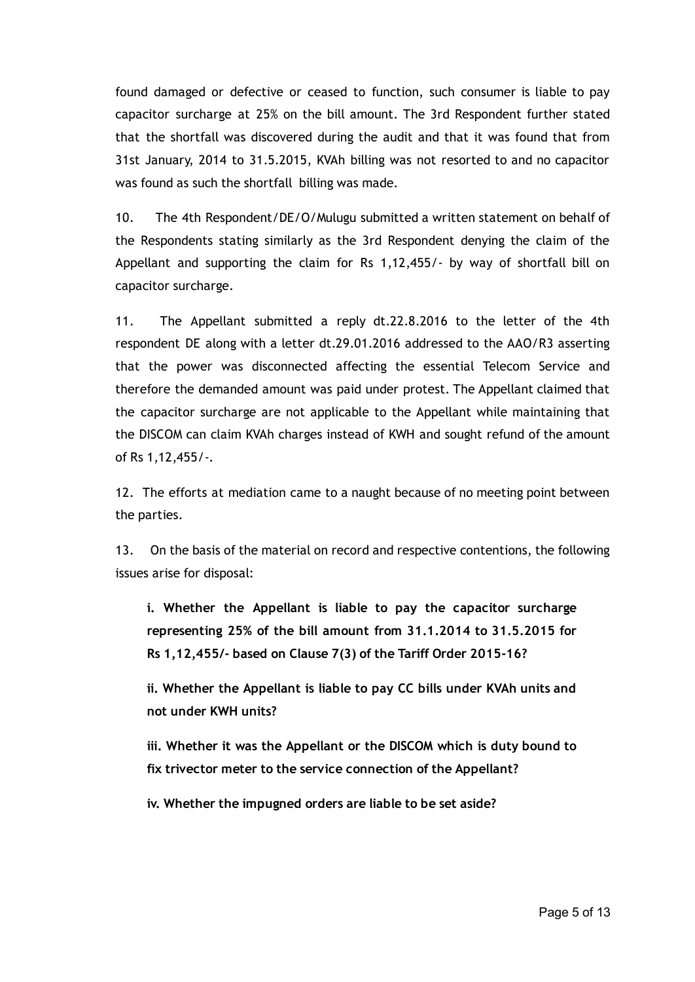found damaged or defective or ceased to function, such consumer is liable to pay capacitor surcharge at 25% on the bill amount. The 3rd Respondent further stated that the shortfall was discovered during the audit and that it was found that from 31st January, 2014 to 31.5.2015, KVAh billing was not resorted to and no capacitor was found as such the shortfall billing was made.

10. The 4th Respondent/DE/O/Mulugu submitted a written statement on behalf of the Respondents stating similarly as the 3rd Respondent denying the claim of the Appellant and supporting the claim for Rs 1,12,455/‐ by way of shortfall bill on capacitor surcharge.

11. The Appellant submitted a reply dt.22.8.2016 to the letter of the 4th respondent DE along with a letter dt.29.01.2016 addressed to the AAO/R3 asserting that the power was disconnected affecting the essential Telecom Service and therefore the demanded amount was paid under protest. The Appellant claimed that the capacitor surcharge are not applicable to the Appellant while maintaining that the DISCOM can claim KVAh charges instead of KWH and sought refund of the amount of Rs 1,12,455/‐.

12. The efforts at mediation came to a naught because of no meeting point between the parties.

13. On the basis of the material on record and respective contentions, the following issues arise for disposal:

i. Whether the Appellant is liable to pay the capacitor surcharge representing 25% of the bill amount from 31.1.2014 to 31.5.2015 for Rs 1,12,455/‐ based on Clause 7(3) of the Tariff Order 2015‐16?

ii. Whether the Appellant is liable to pay CC bills under KVAh units and not under KWH units?

iii. Whether it was the Appellant or the DISCOM which is duty bound to fix trivector meter to the service connection of the Appellant?

iv. Whether the impugned orders are liable to be set aside?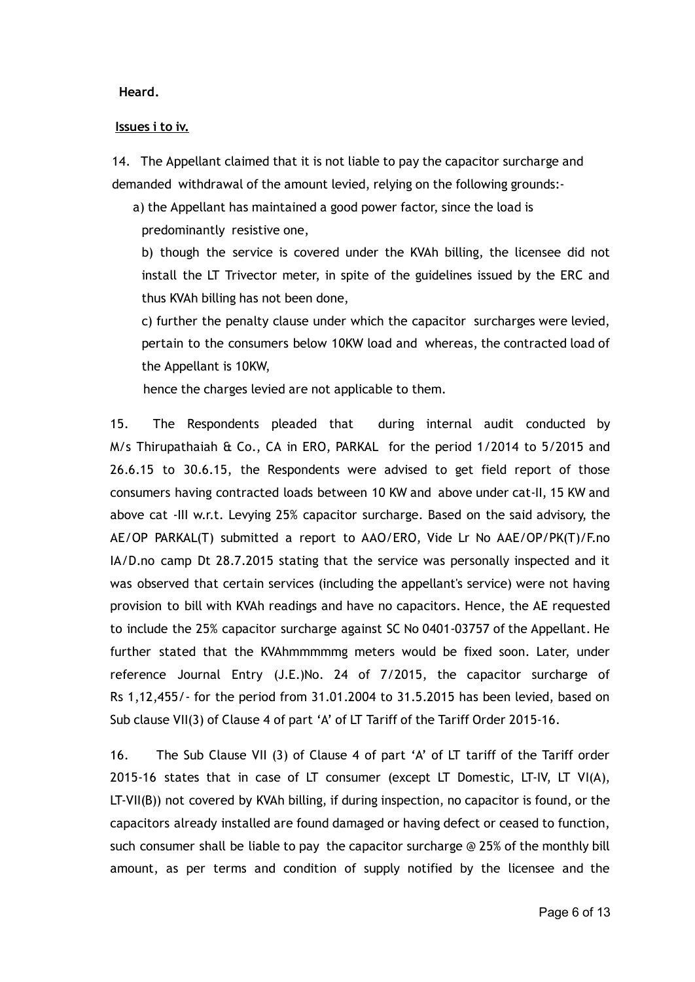Heard.

#### Issues i to iv.

14. The Appellant claimed that it is not liable to pay the capacitor surcharge and demanded withdrawal of the amount levied, relying on the following grounds:‐

a) the Appellant has maintained a good power factor, since the load is

predominantly resistive one,

b) though the service is covered under the KVAh billing, the licensee did not install the LT Trivector meter, in spite of the guidelines issued by the ERC and thus KVAh billing has not been done,

c) further the penalty clause under which the capacitor surcharges were levied, pertain to the consumers below 10KW load and whereas, the contracted load of the Appellant is 10KW,

hence the charges levied are not applicable to them.

15. The Respondents pleaded that during internal audit conducted by M/s Thirupathaiah & Co., CA in ERO, PARKAL for the period 1/2014 to 5/2015 and 26.6.15 to 30.6.15, the Respondents were advised to get field report of those consumers having contracted loads between 10 KW and above under cat‐II, 15 KW and above cat ‐III w.r.t. Levying 25% capacitor surcharge. Based on the said advisory, the AE/OP PARKAL(T) submitted a report to AAO/ERO, Vide Lr No AAE/OP/PK(T)/F.no IA/D.no camp Dt 28.7.2015 stating that the service was personally inspected and it was observed that certain services (including the appellant's service) were not having provision to bill with KVAh readings and have no capacitors. Hence, the AE requested to include the 25% capacitor surcharge against SC No 0401‐03757 of the Appellant. He further stated that the KVAhmmmmmg meters would be fixed soon. Later, under reference Journal Entry (J.E.)No. 24 of 7/2015, the capacitor surcharge of Rs 1,12,455/‐ for the period from 31.01.2004 to 31.5.2015 has been levied, based on Sub clause VII(3) of Clause 4 of part 'A' of LT Tariff of the Tariff Order 2015‐16.

16. The Sub Clause VII (3) of Clause 4 of part 'A' of LT tariff of the Tariff order 2015-16 states that in case of LT consumer (except LT Domestic, LT-IV, LT VI(A),  $LT-VII(B)$ ) not covered by KVAh billing, if during inspection, no capacitor is found, or the capacitors already installed are found damaged or having defect or ceased to function, such consumer shall be liable to pay the capacitor surcharge @ 25% of the monthly bill amount, as per terms and condition of supply notified by the licensee and the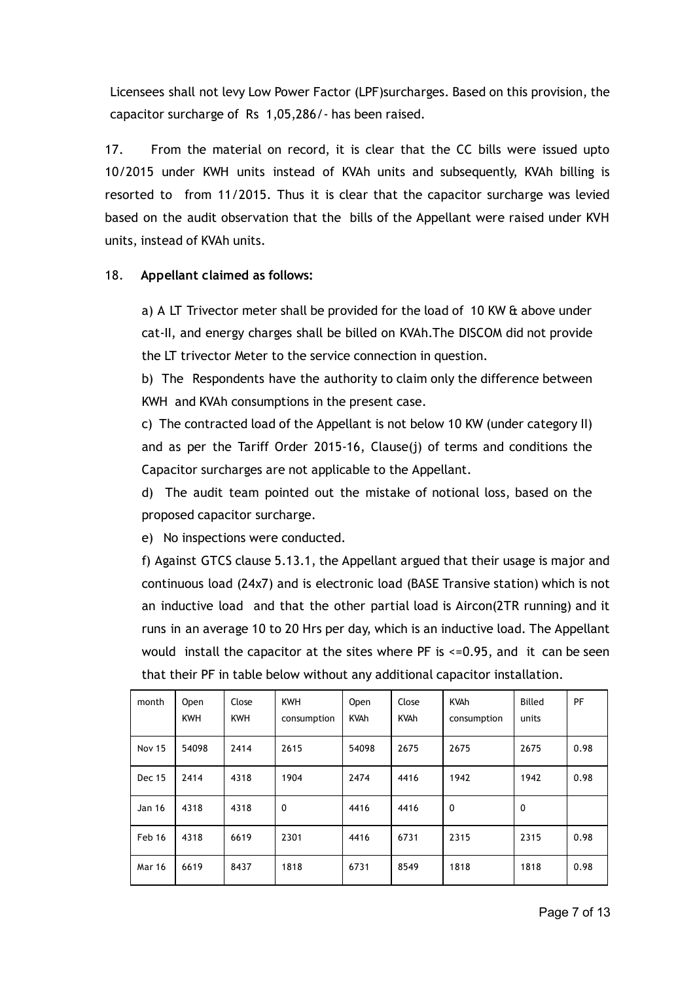Licensees shall not levy Low Power Factor (LPF)surcharges. Based on this provision, the capacitor surcharge of Rs 1,05,286/‐ has been raised.

17. From the material on record, it is clear that the CC bills were issued upto 10/2015 under KWH units instead of KVAh units and subsequently, KVAh billing is resorted to from 11/2015. Thus it is clear that the capacitor surcharge was levied based on the audit observation that the bills of the Appellant were raised under KVH units, instead of KVAh units.

### 18. Appellant claimed as follows:

a) A LT Trivector meter shall be provided for the load of 10 KW & above under cat‐II, and energy charges shall be billed on KVAh.The DISCOM did not provide the LT trivector Meter to the service connection in question.

b) The Respondents have the authority to claim only the difference between KWH and KVAh consumptions in the present case.

c) The contracted load of the Appellant is not below 10 KW (under category II) and as per the Tariff Order 2015‐16, Clause(j) of terms and conditions the Capacitor surcharges are not applicable to the Appellant.

d) The audit team pointed out the mistake of notional loss, based on the proposed capacitor surcharge.

e) No inspections were conducted.

f) Against GTCS clause 5.13.1, the Appellant argued that their usage is major and continuous load (24x7) and is electronic load (BASE Transive station) which is not an inductive load and that the other partial load is Aircon(2TR running) and it runs in an average 10 to 20 Hrs per day, which is an inductive load. The Appellant would install the capacitor at the sites where PF is <=0.95, and it can be seen that their PF in table below without any additional capacitor installation.

| month         | Open<br><b>KWH</b> | Close<br><b>KWH</b> | <b>KWH</b><br>consumption | Open<br><b>KVAh</b> | Close<br><b>KVAh</b> | <b>KVAh</b><br>consumption | <b>Billed</b><br>units | PF   |
|---------------|--------------------|---------------------|---------------------------|---------------------|----------------------|----------------------------|------------------------|------|
| <b>Nov 15</b> | 54098              | 2414                | 2615                      | 54098               | 2675                 | 2675                       | 2675                   | 0.98 |
| <b>Dec 15</b> | 2414               | 4318                | 1904                      | 2474                | 4416                 | 1942                       | 1942                   | 0.98 |
| Jan 16        | 4318               | 4318                | $\mathbf 0$               | 4416                | 4416                 | 0                          | $\mathbf 0$            |      |
| Feb 16        | 4318               | 6619                | 2301                      | 4416                | 6731                 | 2315                       | 2315                   | 0.98 |
| <b>Mar 16</b> | 6619               | 8437                | 1818                      | 6731                | 8549                 | 1818                       | 1818                   | 0.98 |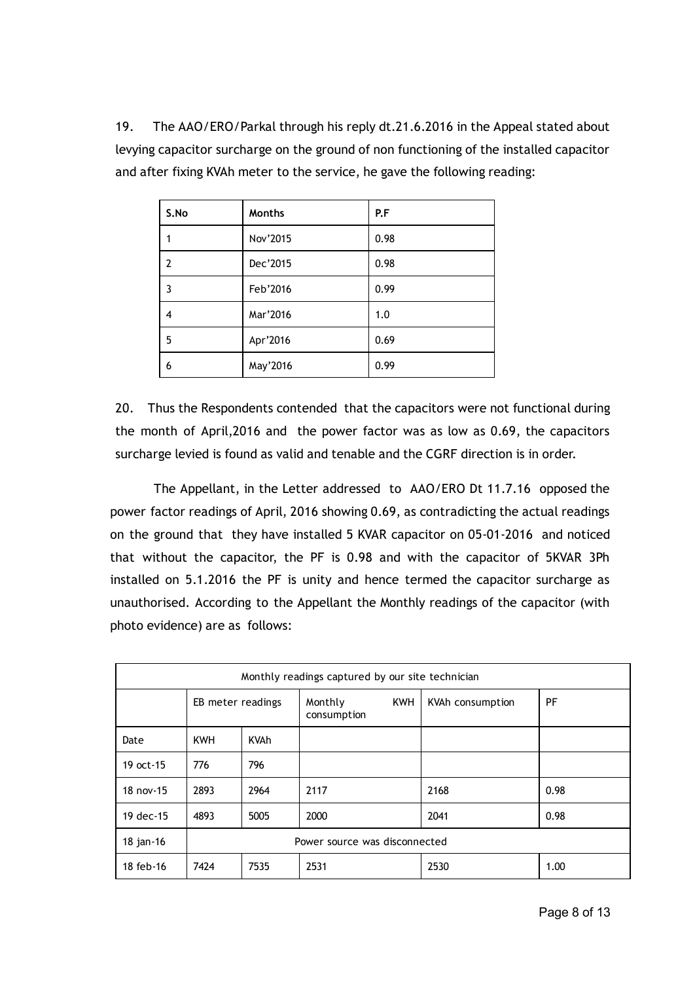19. The AAO/ERO/Parkal through his reply dt.21.6.2016 in the Appeal stated about levying capacitor surcharge on the ground of non functioning of the installed capacitor and after fixing KVAh meter to the service, he gave the following reading:

| S.No           | <b>Months</b> | P.F  |
|----------------|---------------|------|
| 1              | Nov'2015      | 0.98 |
| $\overline{2}$ | Dec'2015      | 0.98 |
| 3              | Feb'2016      | 0.99 |
| 4              | Mar'2016      | 1.0  |
| 5              | Apr'2016      | 0.69 |
| 6              | May'2016      | 0.99 |

20. Thus the Respondents contended that the capacitors were not functional during the month of April,2016 and the power factor was as low as 0.69, the capacitors surcharge levied is found as valid and tenable and the CGRF direction is in order.

The Appellant, in the Letter addressed to AAO/ERO Dt 11.7.16 opposed the power factor readings of April, 2016 showing 0.69, as contradicting the actual readings on the ground that they have installed 5 KVAR capacitor on 05‐01‐2016 and noticed that without the capacitor, the PF is 0.98 and with the capacitor of 5KVAR 3Ph installed on 5.1.2016 the PF is unity and hence termed the capacitor surcharge as unauthorised. According to the Appellant the Monthly readings of the capacitor (with photo evidence) are as follows:

| Monthly readings captured by our site technician |                               |             |                                      |                  |      |  |  |
|--------------------------------------------------|-------------------------------|-------------|--------------------------------------|------------------|------|--|--|
|                                                  | EB meter readings             |             | <b>KWH</b><br>Monthly<br>consumption | KVAh consumption | PF   |  |  |
| Date                                             | <b>KWH</b>                    | <b>KVAh</b> |                                      |                  |      |  |  |
| 19 oct-15                                        | 776                           | 796         |                                      |                  |      |  |  |
| 18 nov-15                                        | 2893                          | 2964        | 2117                                 | 2168             | 0.98 |  |  |
| 19 dec-15                                        | 4893                          | 5005        | 2000                                 | 2041             | 0.98 |  |  |
| 18 jan-16                                        | Power source was disconnected |             |                                      |                  |      |  |  |
| 18 feb-16                                        | 7424                          | 7535        | 2531                                 | 2530             | 1.00 |  |  |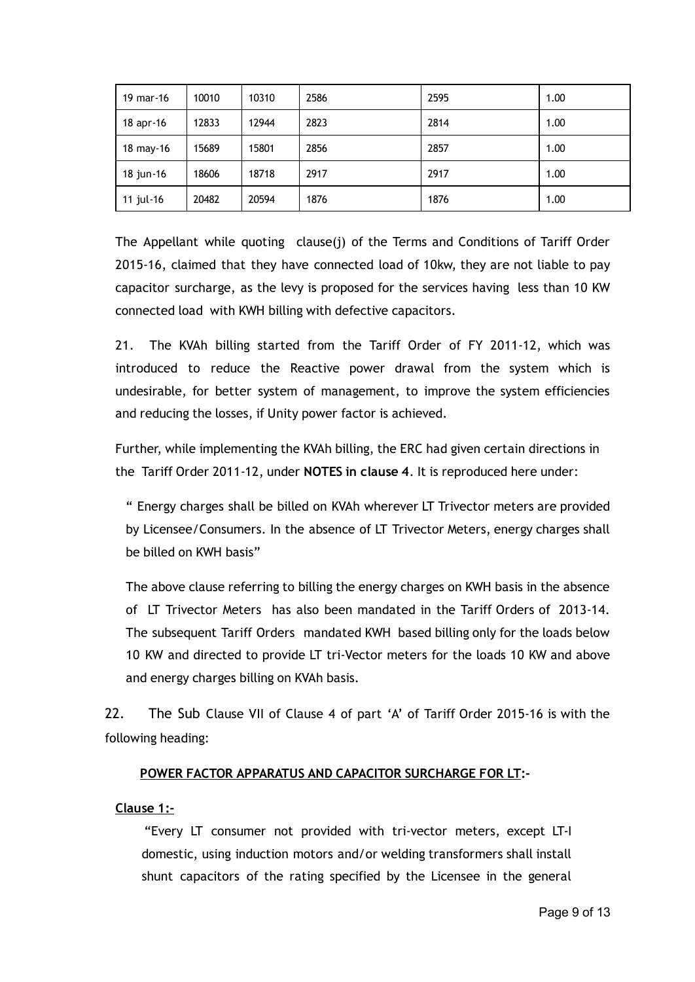| 19 mar-16 | 10010 | 10310 | 2586 | 2595 | 1.00 |
|-----------|-------|-------|------|------|------|
| 18 apr-16 | 12833 | 12944 | 2823 | 2814 | 1.00 |
| 18 may-16 | 15689 | 15801 | 2856 | 2857 | 1.00 |
| 18 jun-16 | 18606 | 18718 | 2917 | 2917 | 1.00 |
| 11 jul-16 | 20482 | 20594 | 1876 | 1876 | 1.00 |

The Appellant while quoting clause(j) of the Terms and Conditions of Tariff Order 2015‐16, claimed that they have connected load of 10kw, they are not liable to pay capacitor surcharge, as the levy is proposed for the services having less than 10 KW connected load with KWH billing with defective capacitors.

21. The KVAh billing started from the Tariff Order of FY 2011‐12, which was introduced to reduce the Reactive power drawal from the system which is undesirable, for better system of management, to improve the system efficiencies and reducing the losses, if Unity power factor is achieved.

Further, while implementing the KVAh billing, the ERC had given certain directions in the Tariff Order 2011-12, under NOTES in clause 4. It is reproduced here under:

" Energy charges shall be billed on KVAh wherever LT Trivector meters are provided by Licensee/Consumers. In the absence of LT Trivector Meters, energy charges shall be billed on KWH basis"

The above clause referring to billing the energy charges on KWH basis in the absence of LT Trivector Meters has also been mandated in the Tariff Orders of 2013‐14. The subsequent Tariff Orders mandated KWH based billing only for the loads below 10 KW and directed to provide LT tri‐Vector meters for the loads 10 KW and above and energy charges billing on KVAh basis.

22. The Sub Clause VII of Clause 4 of part 'A' of Tariff Order 2015-16 is with the following heading:

## POWER FACTOR APPARATUS AND CAPACITOR SURCHARGE FOR LT:‐

#### Clause 1:‐

"Every LT consumer not provided with tri‐vector meters, except LT‐I domestic, using induction motors and/or welding transformers shall install shunt capacitors of the rating specified by the Licensee in the general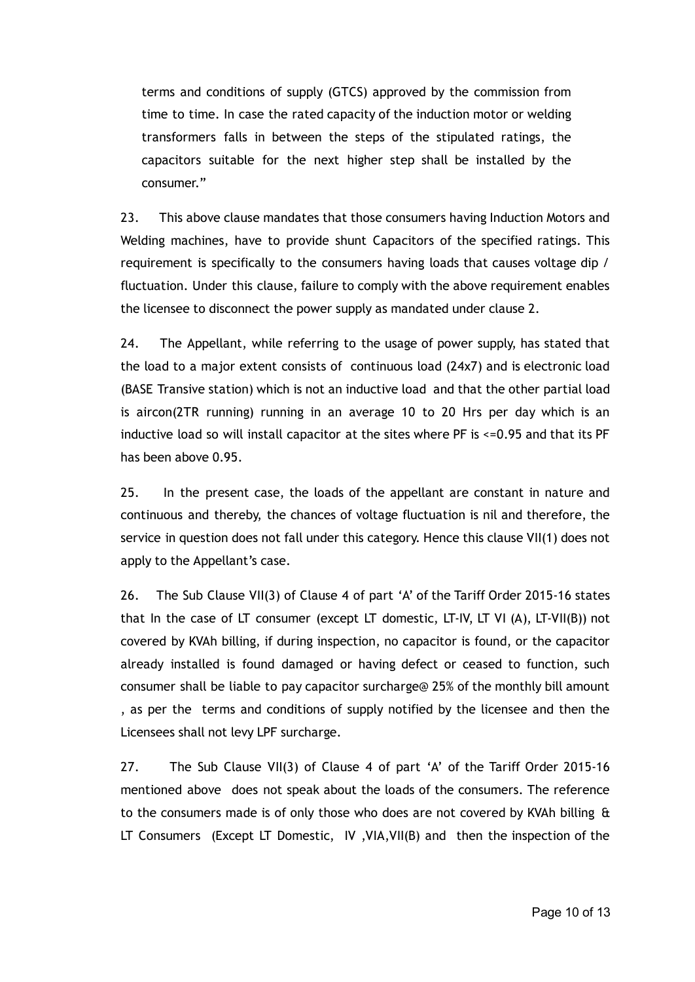terms and conditions of supply (GTCS) approved by the commission from time to time. In case the rated capacity of the induction motor or welding transformers falls in between the steps of the stipulated ratings, the capacitors suitable for the next higher step shall be installed by the consumer."

23. This above clause mandates that those consumers having Induction Motors and Welding machines, have to provide shunt Capacitors of the specified ratings. This requirement is specifically to the consumers having loads that causes voltage dip / fluctuation. Under this clause, failure to comply with the above requirement enables the licensee to disconnect the power supply as mandated under clause 2.

24. The Appellant, while referring to the usage of power supply, has stated that the load to a major extent consists of continuous load (24x7) and is electronic load (BASE Transive station) which is not an inductive load and that the other partial load is aircon(2TR running) running in an average 10 to 20 Hrs per day which is an inductive load so will install capacitor at the sites where PF is <=0.95 and that its PF has been above 0.95.

25. In the present case, the loads of the appellant are constant in nature and continuous and thereby, the chances of voltage fluctuation is nil and therefore, the service in question does not fall under this category. Hence this clause VII(1) does not apply to the Appellant's case.

26. The Sub Clause VII(3) of Clause 4 of part 'A' of the Tariff Order 2015‐16 states that In the case of LT consumer (except LT domestic, LT-IV, LT VI (A), LT-VII(B)) not covered by KVAh billing, if during inspection, no capacitor is found, or the capacitor already installed is found damaged or having defect or ceased to function, such consumer shall be liable to pay capacitor surcharge@ 25% of the monthly bill amount , as per the terms and conditions of supply notified by the licensee and then the Licensees shall not levy LPF surcharge.

27. The Sub Clause VII(3) of Clause 4 of part 'A' of the Tariff Order 2015-16 mentioned above does not speak about the loads of the consumers. The reference to the consumers made is of only those who does are not covered by KVAh billing & LT Consumers (Except LT Domestic, IV ,VIA,VII(B) and then the inspection of the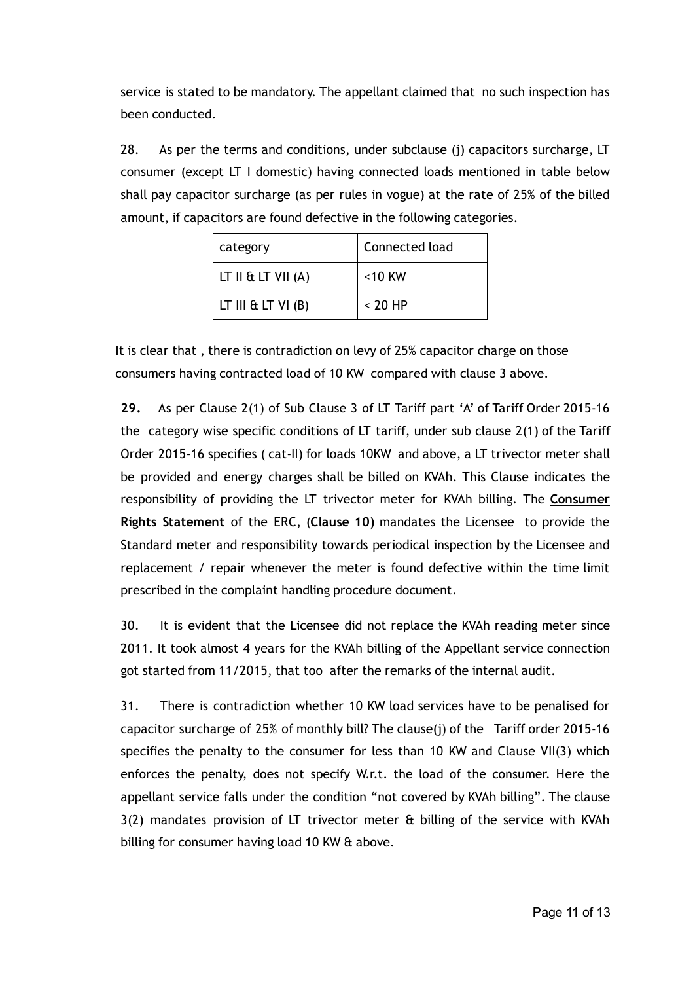service is stated to be mandatory. The appellant claimed that no such inspection has been conducted.

28. As per the terms and conditions, under subclause (j) capacitors surcharge, LT consumer (except LT I domestic) having connected loads mentioned in table below shall pay capacitor surcharge (as per rules in vogue) at the rate of 25% of the billed amount, if capacitors are found defective in the following categories.

| category             | Connected load |  |
|----------------------|----------------|--|
| LT II & LT VII $(A)$ | $<$ 10 KW      |  |
| LT III & LT $VI(B)$  | $< 20$ HP      |  |

It is clear that , there is contradiction on levy of 25% capacitor charge on those consumers having contracted load of 10 KW compared with clause 3 above.

29. As per Clause 2(1) of Sub Clause 3 of LT Tariff part 'A' of Tariff Order 2015‐16 the category wise specific conditions of LT tariff, under sub clause 2(1) of the Tariff Order 2015‐16 specifies ( cat‐II) for loads 10KW and above, a LT trivector meter shall be provided and energy charges shall be billed on KVAh. This Clause indicates the responsibility of providing the LT trivector meter for KVAh billing. The Consumer Rights Statement of the ERC, (Clause 10) mandates the Licensee to provide the Standard meter and responsibility towards periodical inspection by the Licensee and replacement / repair whenever the meter is found defective within the time limit prescribed in the complaint handling procedure document.

30. It is evident that the Licensee did not replace the KVAh reading meter since 2011. It took almost 4 years for the KVAh billing of the Appellant service connection got started from 11/2015, that too after the remarks of the internal audit.

31. There is contradiction whether 10 KW load services have to be penalised for capacitor surcharge of 25% of monthly bill? The clause(j) of the Tariff order 2015‐16 specifies the penalty to the consumer for less than 10 KW and Clause VII(3) which enforces the penalty, does not specify W.r.t. the load of the consumer. Here the appellant service falls under the condition "not covered by KVAh billing". The clause 3(2) mandates provision of LT trivector meter & billing of the service with KVAh billing for consumer having load 10 KW & above.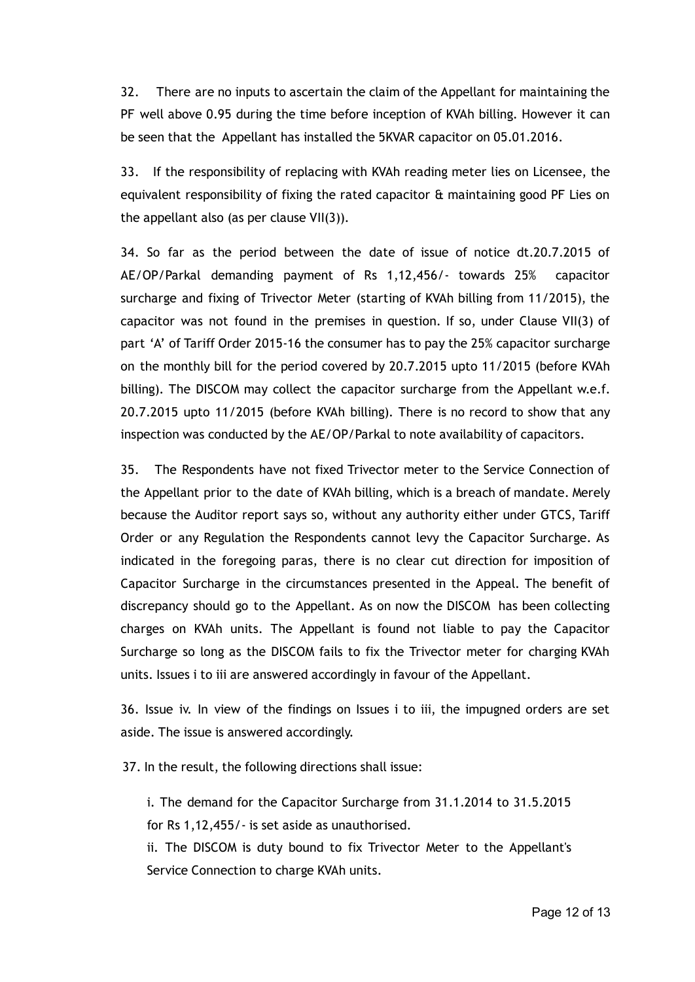32. There are no inputs to ascertain the claim of the Appellant for maintaining the PF well above 0.95 during the time before inception of KVAh billing. However it can be seen that the Appellant has installed the 5KVAR capacitor on 05.01.2016.

33. If the responsibility of replacing with KVAh reading meter lies on Licensee, the equivalent responsibility of fixing the rated capacitor & maintaining good PF Lies on the appellant also (as per clause VII(3)).

34. So far as the period between the date of issue of notice dt.20.7.2015 of AE/OP/Parkal demanding payment of Rs 1,12,456/‐ towards 25% capacitor surcharge and fixing of Trivector Meter (starting of KVAh billing from 11/2015), the capacitor was not found in the premises in question. If so, under Clause VII(3) of part 'A' of Tariff Order 2015‐16 the consumer has to pay the 25% capacitor surcharge on the monthly bill for the period covered by 20.7.2015 upto 11/2015 (before KVAh billing). The DISCOM may collect the capacitor surcharge from the Appellant w.e.f. 20.7.2015 upto 11/2015 (before KVAh billing). There is no record to show that any inspection was conducted by the AE/OP/Parkal to note availability of capacitors.

35. The Respondents have not fixed Trivector meter to the Service Connection of the Appellant prior to the date of KVAh billing, which is a breach of mandate. Merely because the Auditor report says so, without any authority either under GTCS, Tariff Order or any Regulation the Respondents cannot levy the Capacitor Surcharge. As indicated in the foregoing paras, there is no clear cut direction for imposition of Capacitor Surcharge in the circumstances presented in the Appeal. The benefit of discrepancy should go to the Appellant. As on now the DISCOM has been collecting charges on KVAh units. The Appellant is found not liable to pay the Capacitor Surcharge so long as the DISCOM fails to fix the Trivector meter for charging KVAh units. Issues i to iii are answered accordingly in favour of the Appellant.

36. Issue iv. In view of the findings on Issues i to iii, the impugned orders are set aside. The issue is answered accordingly.

37. In the result, the following directions shall issue:

i. The demand for the Capacitor Surcharge from 31.1.2014 to 31.5.2015 for Rs 1,12,455/‐ is set aside as unauthorised.

ii. The DISCOM is duty bound to fix Trivector Meter to the Appellant's Service Connection to charge KVAh units.